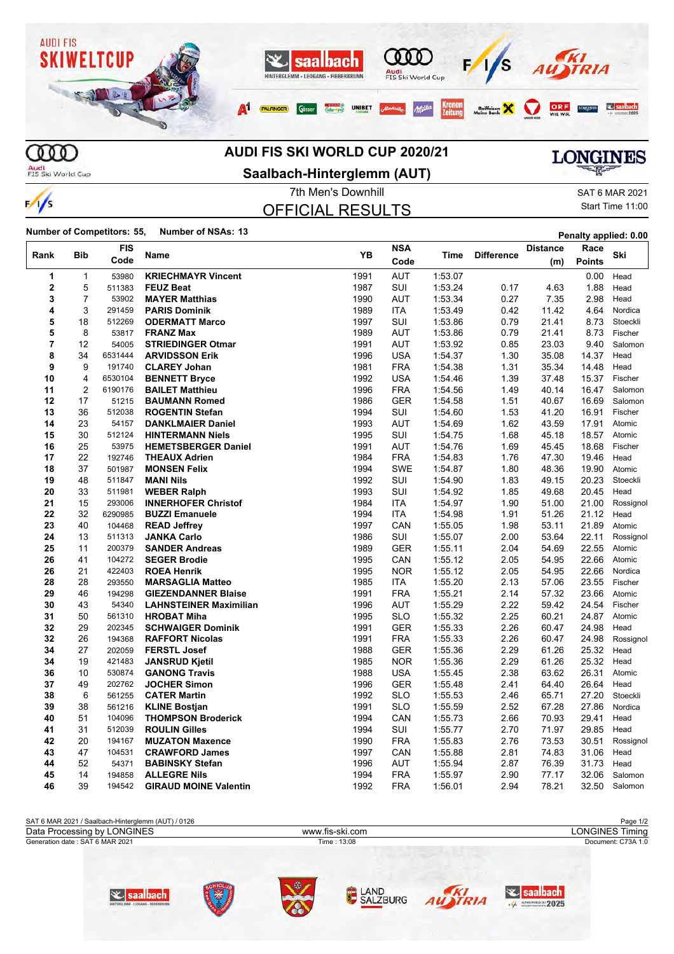

## **AUDI FIS SKI WORLD CUP 2020/21**

Audi<br>FIS Ski World Cup

 $\frac{1}{s}$ 

## **Saalbach-Hinterglemm (AUT)**

**LONGINES** 

7th Men's Downhill OFFICIAL RESULTS

| SAT 6 MAR 2021   |
|------------------|
| Start Time 11:00 |

**Number of Competitors: 55, Number of NSAs: 13 Penalty applied: 0.00**

| Rank           | <b>Bib</b>     | <b>FIS</b><br>Code | <b>Name</b>                   |      | <b>NSA</b><br>Code |         | <b>Difference</b> | <b>Distance</b> | Race          |           |
|----------------|----------------|--------------------|-------------------------------|------|--------------------|---------|-------------------|-----------------|---------------|-----------|
|                |                |                    |                               | YB   |                    | Time    |                   | (m)             | <b>Points</b> | Ski       |
| 1              | $\mathbf{1}$   | 53980              | <b>KRIECHMAYR Vincent</b>     | 1991 | <b>AUT</b>         | 1:53.07 |                   |                 | 0.00          | Head      |
| $\mathbf 2$    | 5              | 511383             | <b>FEUZ Beat</b>              | 1987 | SUI                | 1:53.24 | 0.17              | 4.63            | 1.88          | Head      |
| 3              | $\overline{7}$ | 53902              | <b>MAYER Matthias</b>         | 1990 | <b>AUT</b>         | 1:53.34 | 0.27              | 7.35            | 2.98          | Head      |
| 4              | 3              | 291459             | <b>PARIS Dominik</b>          | 1989 | <b>ITA</b>         | 1.53.49 | 0.42              | 11.42           | 4.64          | Nordica   |
| 5              | 18             | 512269             | <b>ODERMATT Marco</b>         | 1997 | SUI                | 1:53.86 | 0.79              | 21.41           | 8.73          | Stoeckli  |
| 5              | 8              | 53817              | <b>FRANZ Max</b>              | 1989 | <b>AUT</b>         | 1:53.86 | 0.79              | 21.41           | 8.73          | Fischer   |
| $\overline{7}$ | 12             | 54005              | <b>STRIEDINGER Otmar</b>      | 1991 | <b>AUT</b>         | 1:53.92 | 0.85              | 23.03           | 9.40          | Salomon   |
| 8              | 34             | 6531444            | <b>ARVIDSSON Erik</b>         | 1996 | <b>USA</b>         | 1:54.37 | 1.30              | 35.08           | 14.37         | Head      |
| 9              | 9              | 191740             | <b>CLAREY Johan</b>           | 1981 | <b>FRA</b>         | 1:54.38 | 1.31              | 35.34           | 14.48         | Head      |
| 10             | 4              | 6530104            | <b>BENNETT Bryce</b>          | 1992 | <b>USA</b>         | 1:54.46 | 1.39              | 37.48           | 15.37         | Fischer   |
| 11             | $\overline{2}$ | 6190176            | <b>BAILET Matthieu</b>        | 1996 | <b>FRA</b>         | 1:54.56 | 1.49              | 40.14           | 16.47         | Salomon   |
| 12             | 17             | 51215              | <b>BAUMANN Romed</b>          | 1986 | <b>GER</b>         | 1:54.58 | 1.51              | 40.67           | 16.69         | Salomon   |
| 13             | 36             | 512038             | <b>ROGENTIN Stefan</b>        | 1994 | SUI                | 1:54.60 | 1.53              | 41.20           | 16.91         | Fischer   |
| 14             | 23             | 54157              | <b>DANKLMAIER Daniel</b>      | 1993 | <b>AUT</b>         | 1.54.69 | 1.62              | 43.59           | 17.91         | Atomic    |
| 15             | 30             | 512124             | <b>HINTERMANN Niels</b>       | 1995 | SUI                | 1:54.75 | 1.68              | 45.18           | 18.57         | Atomic    |
| 16             | 25             | 53975              | <b>HEMETSBERGER Daniel</b>    | 1991 | <b>AUT</b>         | 1:54.76 | 1.69              | 45.45           | 18.68         | Fischer   |
| 17             | 22             | 192746             | <b>THEAUX Adrien</b>          | 1984 | <b>FRA</b>         | 1:54.83 | 1.76              | 47.30           | 19.46         | Head      |
| 18             | 37             | 501987             | <b>MONSEN Felix</b>           | 1994 | <b>SWE</b>         | 1:54.87 | 1.80              | 48.36           | 19.90         | Atomic    |
| 19             | 48             | 511847             | <b>MANI Nils</b>              | 1992 | SUI                | 1:54.90 | 1.83              | 49.15           | 20.23         | Stoeckli  |
| 20             | 33             | 511981             | <b>WEBER Ralph</b>            | 1993 | SUI                | 1:54.92 | 1.85              | 49.68           | 20.45         | Head      |
| 21             | 15             | 293006             | <b>INNERHOFER Christof</b>    | 1984 | <b>ITA</b>         | 1:54.97 | 1.90              | 51.00           | 21.00         | Rossignol |
| 22             | 32             | 6290985            | <b>BUZZI Emanuele</b>         | 1994 | <b>ITA</b>         | 1:54.98 | 1.91              | 51.26           | 21.12         | Head      |
| 23             | 40             | 104468             | <b>READ Jeffrey</b>           | 1997 | CAN                | 1:55.05 | 1.98              | 53.11           | 21.89         | Atomic    |
| 24             | 13             | 511313             | <b>JANKA Carlo</b>            | 1986 | SUI                | 1:55.07 | 2.00              | 53.64           | 22.11         | Rossignol |
| 25             | 11             | 200379             | <b>SANDER Andreas</b>         | 1989 | <b>GER</b>         | 1:55.11 | 2.04              | 54.69           | 22.55         | Atomic    |
| 26             | 41             | 104272             | <b>SEGER Brodie</b>           | 1995 | CAN                | 1:55.12 | 2.05              | 54.95           | 22.66         | Atomic    |
| 26             | 21             | 422403             | <b>ROEA Henrik</b>            | 1995 | <b>NOR</b>         | 1:55.12 | 2.05              | 54.95           | 22.66         | Nordica   |
| 28             | 28             | 293550             | <b>MARSAGLIA Matteo</b>       | 1985 | <b>ITA</b>         | 1:55.20 | 2.13              | 57.06           | 23.55         | Fischer   |
| 29             | 46             | 194298             | <b>GIEZENDANNER Blaise</b>    | 1991 | <b>FRA</b>         | 1:55.21 | 2.14              | 57.32           | 23.66         | Atomic    |
| 30             | 43             | 54340              | <b>LAHNSTEINER Maximilian</b> | 1996 | <b>AUT</b>         | 1:55.29 | 2.22              | 59.42           | 24.54         | Fischer   |
| 31             | 50             | 561310             | <b>HROBAT Miha</b>            | 1995 | <b>SLO</b>         | 1:55.32 | 2.25              | 60.21           | 24.87         | Atomic    |
| 32             | 29             | 202345             | <b>SCHWAIGER Dominik</b>      | 1991 | <b>GER</b>         | 1:55.33 | 2.26              | 60.47           | 24.98         | Head      |
| 32             | 26             | 194368             | <b>RAFFORT Nicolas</b>        | 1991 | <b>FRA</b>         | 1:55.33 | 2.26              | 60.47           | 24.98         | Rossignol |
| 34             | 27             | 202059             | <b>FERSTL Josef</b>           | 1988 | <b>GER</b>         | 1:55.36 | 2.29              | 61.26           | 25.32         | Head      |
| 34             | 19             | 421483             | <b>JANSRUD Kjetil</b>         | 1985 | <b>NOR</b>         | 1:55.36 | 2.29              | 61.26           | 25.32         | Head      |
| 36             | 10             | 530874             | <b>GANONG Travis</b>          | 1988 | <b>USA</b>         | 1:55.45 | 2.38              | 63.62           | 26.31         | Atomic    |
| 37             | 49             | 202762             | <b>JOCHER Simon</b>           | 1996 | <b>GER</b>         | 1:55.48 | 2.41              | 64.40           | 26.64         | Head      |
| 38             | 6              | 561255             | <b>CATER Martin</b>           | 1992 | <b>SLO</b>         | 1:55.53 | 2.46              | 65.71           | 27.20         | Stoeckli  |
| 39             | 38             | 561216             | <b>KLINE Bostjan</b>          | 1991 | SLO                | 1:55.59 | 2.52              | 67.28           | 27.86         | Nordica   |
| 40             | 51             | 104096             | <b>THOMPSON Broderick</b>     | 1994 | CAN                | 1:55.73 | 2.66              | 70.93           | 29.41         | Head      |
| 41             | 31             | 512039             | <b>ROULIN Gilles</b>          | 1994 | <b>SUI</b>         | 1:55.77 | 2.70              | 71.97           | 29.85         | Head      |
| 42             | 20             | 194167             | <b>MUZATON Maxence</b>        | 1990 | <b>FRA</b>         | 1:55.83 | 2.76              | 73.53           | 30.51         | Rossignol |
| 43             | 47             | 104531             | <b>CRAWFORD James</b>         | 1997 | CAN                | 1:55.88 | 2.81              | 74.83           | 31.06         | Head      |
| 44             | 52             | 54371              | <b>BABINSKY Stefan</b>        | 1996 | <b>AUT</b>         | 1:55.94 | 2.87              | 76.39           | 31.73         | Head      |
| 45             | 14             | 194858             | <b>ALLEGRE Nils</b>           | 1994 | <b>FRA</b>         | 1:55.97 | 2.90              | 77.17           | 32.06         | Salomon   |
| 46             | 39             | 194542             | <b>GIRAUD MOINE Valentin</b>  | 1992 | <b>FRA</b>         | 1:56.01 | 2.94              | 78.21           | 32.50         | Salomon   |